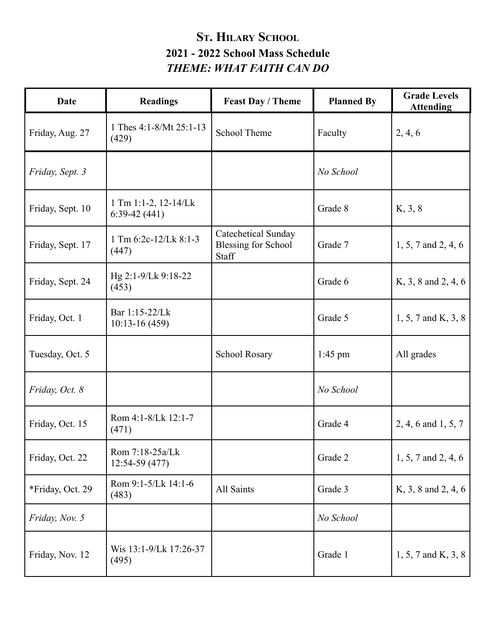## **ST. HILARY SCHOOL 2021 - 2022 School Mass Schedule** *THEME: WHAT FAITH CAN DO*

| <b>Date</b>      | <b>Readings</b>                        | <b>Feast Day / Theme</b>                                   | <b>Planned By</b> | <b>Grade Levels</b><br><b>Attending</b> |
|------------------|----------------------------------------|------------------------------------------------------------|-------------------|-----------------------------------------|
| Friday, Aug. 27  | 1 Thes 4:1-8/Mt 25:1-13<br>(429)       | School Theme                                               | Faculty           | 2, 4, 6                                 |
| Friday, Sept. 3  |                                        |                                                            | No School         |                                         |
| Friday, Sept. 10 | 1 Tm 1:1-2, 12-14/Lk<br>$6:39-42(441)$ |                                                            | Grade 8           | K, 3, 8                                 |
| Friday, Sept. 17 | 1 Tm 6:2c-12/Lk 8:1-3<br>(447)         | Catechetical Sunday<br><b>Blessing for School</b><br>Staff | Grade 7           | 1, 5, 7 and 2, 4, 6                     |
| Friday, Sept. 24 | Hg 2:1-9/Lk 9:18-22<br>(453)           |                                                            | Grade 6           | K, 3, 8 and 2, 4, 6                     |
| Friday, Oct. 1   | Bar 1:15-22/Lk<br>$10:13-16(459)$      |                                                            | Grade 5           | $1, 5, 7$ and K, 3, 8                   |
| Tuesday, Oct. 5  |                                        | <b>School Rosary</b>                                       | $1:45$ pm         | All grades                              |
| Friday, Oct. 8   |                                        |                                                            | No School         |                                         |
| Friday, Oct. 15  | Rom 4:1-8/Lk 12:1-7<br>(471)           |                                                            | Grade 4           | 2, 4, 6 and 1, 5, 7                     |
| Friday, Oct. 22  | Rom 7:18-25a/Lk<br>12:54-59 (477)      |                                                            | Grade 2           | 1, 5, 7 and 2, 4, 6                     |
| *Friday, Oct. 29 | Rom 9:1-5/Lk 14:1-6<br>(483)           | All Saints                                                 | Grade 3           | K, 3, 8 and 2, 4, 6                     |
| Friday, Nov. 5   |                                        |                                                            | No School         |                                         |
| Friday, Nov. 12  | Wis 13:1-9/Lk 17:26-37<br>(495)        |                                                            | Grade 1           | 1, 5, 7 and K, 3, 8                     |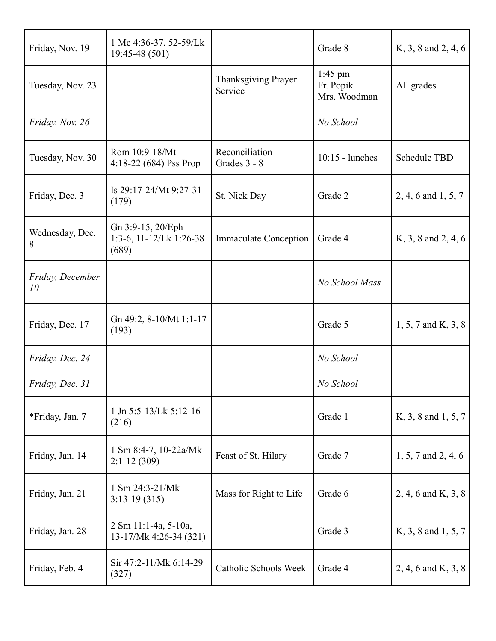| Friday, Nov. 19        | 1 Mc 4:36-37, 52-59/Lk<br>19:45-48 (501)              |                                | Grade 8                                | K, 3, 8 and 2, 4, 6 |
|------------------------|-------------------------------------------------------|--------------------------------|----------------------------------------|---------------------|
| Tuesday, Nov. 23       |                                                       | Thanksgiving Prayer<br>Service | $1:45$ pm<br>Fr. Popik<br>Mrs. Woodman | All grades          |
| Friday, Nov. 26        |                                                       |                                | No School                              |                     |
| Tuesday, Nov. 30       | Rom 10:9-18/Mt<br>4:18-22 (684) Pss Prop              | Reconciliation<br>Grades 3 - 8 | $10:15$ - lunches                      | <b>Schedule TBD</b> |
| Friday, Dec. 3         | Is 29:17-24/Mt 9:27-31<br>(179)                       | St. Nick Day                   | Grade 2                                | 2, 4, 6 and 1, 5, 7 |
| Wednesday, Dec.<br>8   | Gn 3:9-15, 20/Eph<br>1:3-6, 11-12/Lk 1:26-38<br>(689) | <b>Immaculate Conception</b>   | Grade 4                                | K, 3, 8 and 2, 4, 6 |
| Friday, December<br>10 |                                                       |                                | No School Mass                         |                     |
| Friday, Dec. 17        | Gn 49:2, 8-10/Mt 1:1-17<br>(193)                      |                                | Grade 5                                | 1, 5, 7 and K, 3, 8 |
| Friday, Dec. 24        |                                                       |                                | No School                              |                     |
| Friday, Dec. 31        |                                                       |                                | No School                              |                     |
| *Friday, Jan. 7        | 1 Jn 5:5-13/Lk 5:12-16<br>(216)                       |                                | Grade 1                                | K, 3, 8 and 1, 5, 7 |
| Friday, Jan. 14        | 1 Sm 8:4-7, 10-22a/Mk<br>$2:1-12(309)$                | Feast of St. Hilary            | Grade 7                                | 1, 5, 7 and 2, 4, 6 |
| Friday, Jan. 21        | 1 Sm 24:3-21/Mk<br>$3:13-19(315)$                     | Mass for Right to Life         | Grade 6                                | 2, 4, 6 and K, 3, 8 |
| Friday, Jan. 28        | 2 Sm 11:1-4a, 5-10a,<br>13-17/Mk 4:26-34 (321)        |                                | Grade 3                                | K, 3, 8 and 1, 5, 7 |
| Friday, Feb. 4         | Sir 47:2-11/Mk 6:14-29<br>(327)                       | Catholic Schools Week          | Grade 4                                | 2, 4, 6 and K, 3, 8 |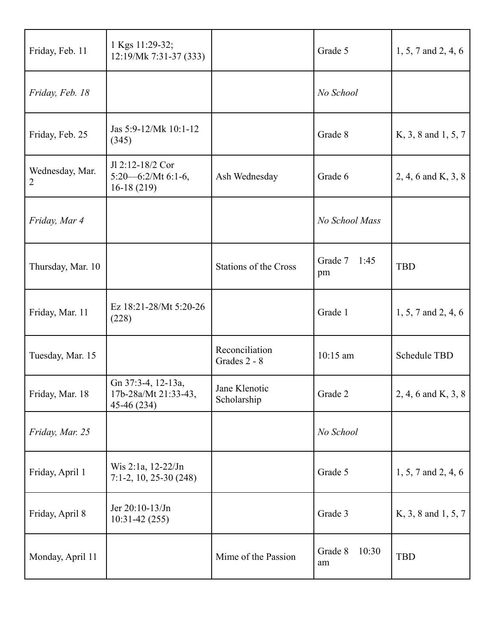| Friday, Feb. 11      | 1 Kgs 11:29-32;<br>12:19/Mk 7:31-37 (333)                  |                                | Grade 5                | 1, 5, 7 and 2, 4, 6     |
|----------------------|------------------------------------------------------------|--------------------------------|------------------------|-------------------------|
| Friday, Feb. 18      |                                                            |                                | No School              |                         |
| Friday, Feb. 25      | Jas 5:9-12/Mk 10:1-12<br>(345)                             |                                | Grade 8                | K, 3, 8 and 1, 5, 7     |
| Wednesday, Mar.<br>2 | Jl 2:12-18/2 Cor<br>$5:20 - 6:2/Mt$ 6:1-6,<br>$16-18(219)$ | Ash Wednesday                  | Grade 6                | 2, 4, 6 and K, 3, 8     |
| Friday, Mar 4        |                                                            |                                | No School Mass         |                         |
| Thursday, Mar. 10    |                                                            | <b>Stations of the Cross</b>   | Grade 7<br>1:45<br>pm  | <b>TBD</b>              |
| Friday, Mar. 11      | Ez 18:21-28/Mt 5:20-26<br>(228)                            |                                | Grade 1                | $1, 5, 7$ and $2, 4, 6$ |
| Tuesday, Mar. 15     |                                                            | Reconciliation<br>Grades 2 - 8 | 10:15 am               | Schedule TBD            |
| Friday, Mar. 18      | Gn 37:3-4, 12-13a,<br>17b-28a/Mt 21:33-43,<br>45-46 (234)  | Jane Klenotic<br>Scholarship   | Grade 2                | 2, 4, 6 and K, 3, 8     |
| Friday, Mar. 25      |                                                            |                                | No School              |                         |
| Friday, April 1      | Wis 2:1a, 12-22/Jn<br>$7:1-2$ , 10, 25-30 (248)            |                                | Grade 5                | $1, 5, 7$ and $2, 4, 6$ |
| Friday, April 8      | Jer $20:10-13$ /Jn<br>$10:31-42(255)$                      |                                | Grade 3                | K, 3, 8 and 1, 5, 7     |
| Monday, April 11     |                                                            | Mime of the Passion            | 10:30<br>Grade 8<br>am | <b>TBD</b>              |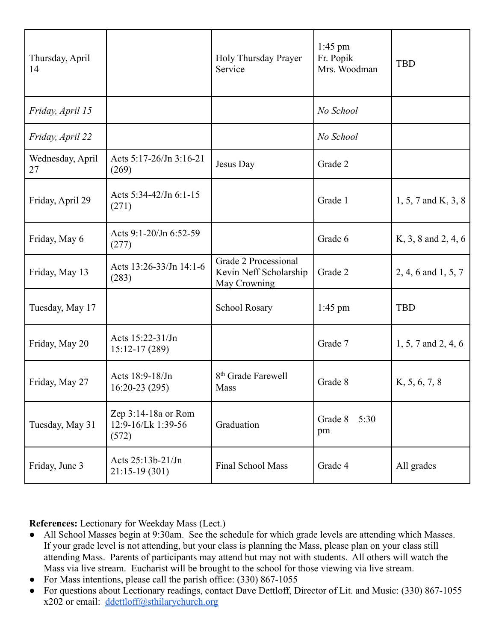| Thursday, April<br>14  |                                                    | Holy Thursday Prayer<br>Service                                       | $1:45$ pm<br>Fr. Popik<br>Mrs. Woodman | <b>TBD</b>          |
|------------------------|----------------------------------------------------|-----------------------------------------------------------------------|----------------------------------------|---------------------|
| Friday, April 15       |                                                    |                                                                       | No School                              |                     |
| Friday, April 22       |                                                    |                                                                       | No School                              |                     |
| Wednesday, April<br>27 | Acts 5:17-26/Jn 3:16-21<br>(269)                   | Jesus Day                                                             | Grade 2                                |                     |
| Friday, April 29       | Acts 5:34-42/Jn 6:1-15<br>(271)                    |                                                                       | Grade 1                                | 1, 5, 7 and K, 3, 8 |
| Friday, May 6          | Acts 9:1-20/Jn 6:52-59<br>(277)                    |                                                                       | Grade 6                                | K, 3, 8 and 2, 4, 6 |
| Friday, May 13         | Acts 13:26-33/Jn 14:1-6<br>(283)                   | Grade 2 Processional<br>Kevin Neff Scholarship<br><b>May Crowning</b> | Grade 2                                | 2, 4, 6 and 1, 5, 7 |
| Tuesday, May 17        |                                                    | <b>School Rosary</b>                                                  | $1:45$ pm                              | <b>TBD</b>          |
| Friday, May 20         | Acts 15:22-31/Jn<br>$15:12-17(289)$                |                                                                       | Grade 7                                | 1, 5, 7 and 2, 4, 6 |
| Friday, May 27         | Acts 18:9-18/Jn<br>$16:20-23(295)$                 | 8 <sup>th</sup> Grade Farewell<br>Mass                                | Grade 8                                | K, 5, 6, 7, 8       |
| Tuesday, May 31        | Zep 3:14-18a or Rom<br>12:9-16/Lk 1:39-56<br>(572) | Graduation                                                            | Grade 8<br>5:30<br>pm                  |                     |
| Friday, June 3         | Acts 25:13b-21/Jn<br>$21:15-19(301)$               | Final School Mass                                                     | Grade 4                                | All grades          |

**References:** Lectionary for Weekday Mass (Lect.)

- All School Masses begin at 9:30am. See the schedule for which grade levels are attending which Masses. If your grade level is not attending, but your class is planning the Mass, please plan on your class still attending Mass. Parents of participants may attend but may not with students. All others will watch the Mass via live stream. Eucharist will be brought to the school for those viewing via live stream.
- For Mass intentions, please call the parish office:  $(330) 867-1055$
- For questions about Lectionary readings, contact Dave Dettloff, Director of Lit. and Music: (330) 867-1055 x202 or email: [ddettloff@sthilarychurch.org](mailto:ddettloff@sthilarychurch.org)